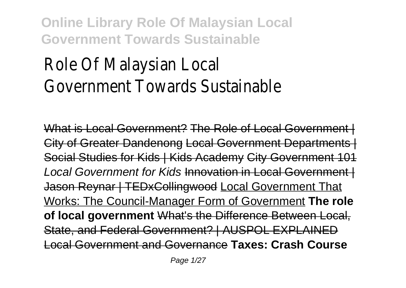# Role Of Malaysian Local Government Towards Sustainable

What is Local Government? The Role of Local Government City of Greater Dandenong Local Government Departments | Social Studies for Kids | Kids Academy City Government 101 Local Government for Kids Innovation in Local Government | Jason Reynar | TEDxCollingwood Local Government That Works: The Council-Manager Form of Government **The role of local government** What's the Difference Between Local, State, and Federal Government? | AUSPOL EXPLAINED Local Government and Governance **Taxes: Crash Course**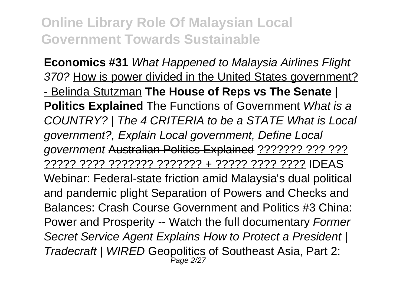**Economics #31** What Happened to Malaysia Airlines Flight 370? How is power divided in the United States government? - Belinda Stutzman **The House of Reps vs The Senate | Politics Explained** The Functions of Government What is a COUNTRY? | The 4 CRITERIA to be a STATE What is Local government?, Explain Local government, Define Local government Australian Politics Explained ??????? ??? ??? ????? ???? ??????? ??????? + ????? ???? ???? IDEAS Webinar: Federal-state friction amid Malaysia's dual political and pandemic plight Separation of Powers and Checks and Balances: Crash Course Government and Politics #3 China: Power and Prosperity -- Watch the full documentary Former Secret Service Agent Explains How to Protect a President | Tradecraft | WIRED <del>Geopolitics of Southeast Asia, Part 2:</del>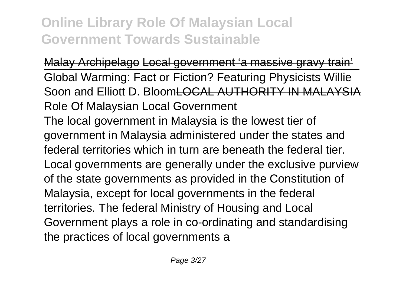Malay Archipelago Local government 'a massive gravy train' Global Warming: Fact or Fiction? Featuring Physicists Willie Soon and Elliott D. BloomLOCAL AUTHORITY IN MALAYSIA Role Of Malaysian Local Government The local government in Malaysia is the lowest tier of government in Malaysia administered under the states and federal territories which in turn are beneath the federal tier. Local governments are generally under the exclusive purview of the state governments as provided in the Constitution of Malaysia, except for local governments in the federal territories. The federal Ministry of Housing and Local Government plays a role in co-ordinating and standardising the practices of local governments a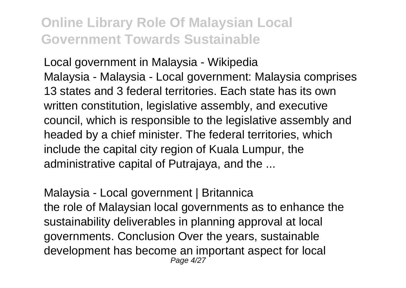Local government in Malaysia - Wikipedia Malaysia - Malaysia - Local government: Malaysia comprises 13 states and 3 federal territories. Each state has its own written constitution, legislative assembly, and executive council, which is responsible to the legislative assembly and headed by a chief minister. The federal territories, which include the capital city region of Kuala Lumpur, the administrative capital of Putrajaya, and the ...

Malaysia - Local government | Britannica the role of Malaysian local governments as to enhance the sustainability deliverables in planning approval at local governments. Conclusion Over the years, sustainable development has become an important aspect for local Page 4/27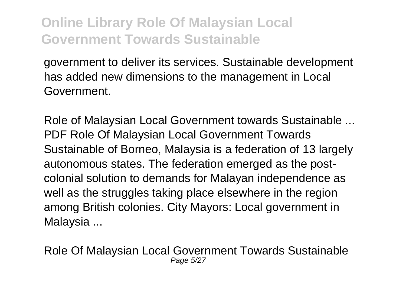government to deliver its services. Sustainable development has added new dimensions to the management in Local Government.

Role of Malaysian Local Government towards Sustainable ... PDF Role Of Malaysian Local Government Towards Sustainable of Borneo, Malaysia is a federation of 13 largely autonomous states. The federation emerged as the postcolonial solution to demands for Malayan independence as well as the struggles taking place elsewhere in the region among British colonies. City Mayors: Local government in Malaysia ...

Role Of Malaysian Local Government Towards Sustainable Page 5/27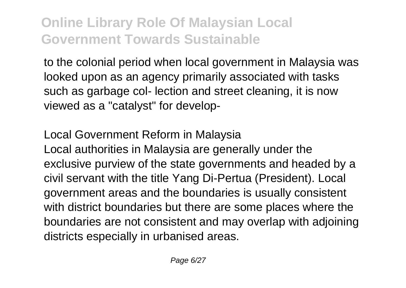to the colonial period when local government in Malaysia was looked upon as an agency primarily associated with tasks such as garbage col- lection and street cleaning, it is now viewed as a "catalyst" for develop-

Local Government Reform in Malaysia Local authorities in Malaysia are generally under the exclusive purview of the state governments and headed by a civil servant with the title Yang Di-Pertua (President). Local government areas and the boundaries is usually consistent with district boundaries but there are some places where the boundaries are not consistent and may overlap with adjoining districts especially in urbanised areas.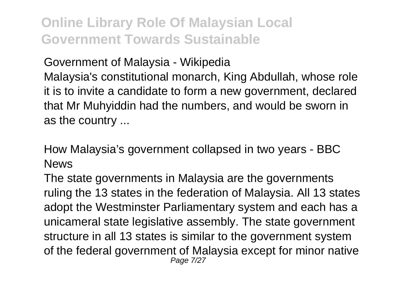Government of Malaysia - Wikipedia Malaysia's constitutional monarch, King Abdullah, whose role it is to invite a candidate to form a new government, declared that Mr Muhyiddin had the numbers, and would be sworn in as the country ...

How Malaysia's government collapsed in two years - BBC News

The state governments in Malaysia are the governments ruling the 13 states in the federation of Malaysia. All 13 states adopt the Westminster Parliamentary system and each has a unicameral state legislative assembly. The state government structure in all 13 states is similar to the government system of the federal government of Malaysia except for minor native Page 7/27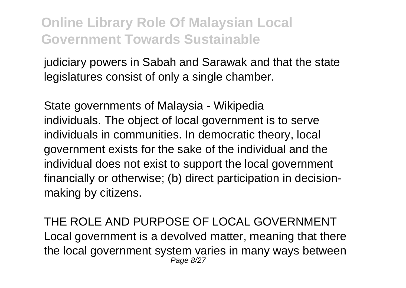judiciary powers in Sabah and Sarawak and that the state legislatures consist of only a single chamber.

State governments of Malaysia - Wikipedia individuals. The object of local government is to serve individuals in communities. In democratic theory, local government exists for the sake of the individual and the individual does not exist to support the local government financially or otherwise; (b) direct participation in decisionmaking by citizens.

THE ROLE AND PURPOSE OF LOCAL GOVERNMENT Local government is a devolved matter, meaning that there the local government system varies in many ways between Page 8/27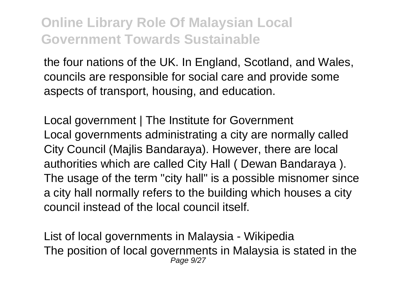the four nations of the UK. In England, Scotland, and Wales, councils are responsible for social care and provide some aspects of transport, housing, and education.

Local government | The Institute for Government Local governments administrating a city are normally called City Council (Majlis Bandaraya). However, there are local authorities which are called City Hall ( Dewan Bandaraya ). The usage of the term "city hall" is a possible misnomer since a city hall normally refers to the building which houses a city council instead of the local council itself.

List of local governments in Malaysia - Wikipedia The position of local governments in Malaysia is stated in the Page 9/27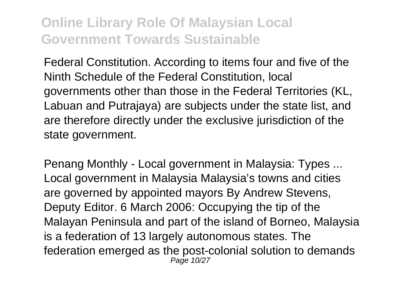Federal Constitution. According to items four and five of the Ninth Schedule of the Federal Constitution, local governments other than those in the Federal Territories (KL, Labuan and Putrajaya) are subjects under the state list, and are therefore directly under the exclusive jurisdiction of the state government.

Penang Monthly - Local government in Malaysia: Types ... Local government in Malaysia Malaysia's towns and cities are governed by appointed mayors By Andrew Stevens, Deputy Editor. 6 March 2006: Occupying the tip of the Malayan Peninsula and part of the island of Borneo, Malaysia is a federation of 13 largely autonomous states. The federation emerged as the post-colonial solution to demands Page 10/27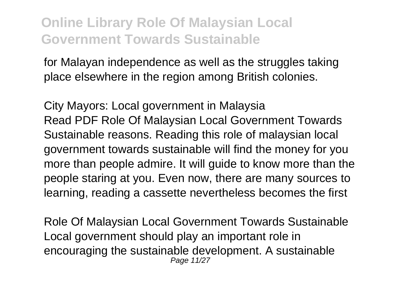for Malayan independence as well as the struggles taking place elsewhere in the region among British colonies.

City Mayors: Local government in Malaysia Read PDF Role Of Malaysian Local Government Towards Sustainable reasons. Reading this role of malaysian local government towards sustainable will find the money for you more than people admire. It will guide to know more than the people staring at you. Even now, there are many sources to learning, reading a cassette nevertheless becomes the first

Role Of Malaysian Local Government Towards Sustainable Local government should play an important role in encouraging the sustainable development. A sustainable Page 11/27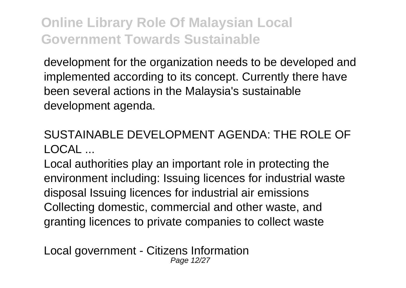development for the organization needs to be developed and implemented according to its concept. Currently there have been several actions in the Malaysia's sustainable development agenda.

#### SUSTAINABLE DEVELOPMENT AGENDA: THE ROLE OF  $LOCA$

Local authorities play an important role in protecting the environment including: Issuing licences for industrial waste disposal Issuing licences for industrial air emissions Collecting domestic, commercial and other waste, and granting licences to private companies to collect waste

Local government - Citizens Information Page 12/27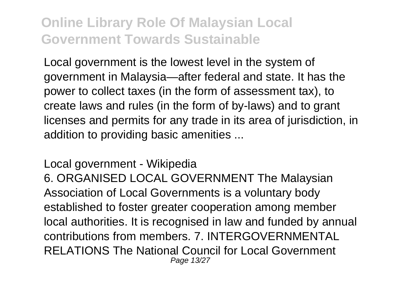Local government is the lowest level in the system of government in Malaysia—after federal and state. It has the power to collect taxes (in the form of assessment tax), to create laws and rules (in the form of by-laws) and to grant licenses and permits for any trade in its area of jurisdiction, in addition to providing basic amenities ...

Local government - Wikipedia 6. ORGANISED LOCAL GOVERNMENT The Malaysian Association of Local Governments is a voluntary body established to foster greater cooperation among member local authorities. It is recognised in law and funded by annual contributions from members. 7. INTERGOVERNMENTAL RELATIONS The National Council for Local Government Page 13/27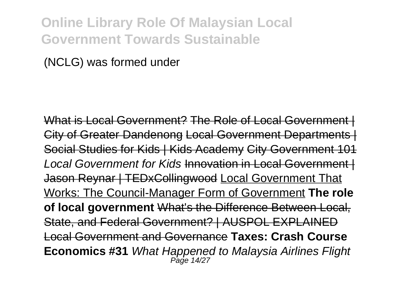(NCLG) was formed under

What is Local Government? The Role of Local Government City of Greater Dandenong Local Government Departments | Social Studies for Kids | Kids Academy City Government Local Government for Kids Innovation in Local Government I Jason Reynar | TEDxCollingwood Local Government That Works: The Council-Manager Form of Government **The role of local government** What's the Difference Between Local, State, and Federal Government? | AUSPOL EXPLAINED Local Government and Governance **Taxes: Crash Course Economics #31** What Happened to Malaysia Airlines Flight Page 14/27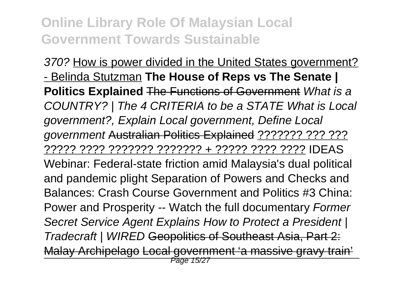370? How is power divided in the United States government? - Belinda Stutzman **The House of Reps vs The Senate | Politics Explained** The Functions of Government What is a COUNTRY? | The 4 CRITERIA to be a STATE What is Local government?, Explain Local government, Define Local government Australian Politics Explained ??????? ??? ??? ????? ???? ??????? ??????? + ????? ???? ???? IDEAS Webinar: Federal-state friction amid Malaysia's dual political and pandemic plight Separation of Powers and Checks and Balances: Crash Course Government and Politics #3 China: Power and Prosperity -- Watch the full documentary Former Secret Service Agent Explains How to Protect a President | Tradecraft | WIRED Geopolitics of Southeast Asia, Part 2: Malay Archipelago Local government 'a massive grav Page 15/27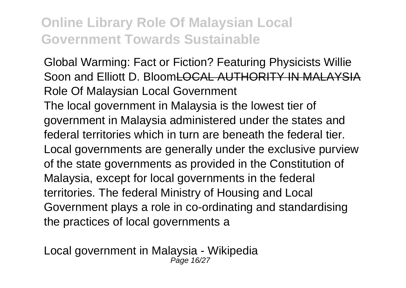Global Warming: Fact or Fiction? Featuring Physicists Willie Soon and Elliott D. BloomLOCAL AUTHORITY IN MALAYSIA Role Of Malaysian Local Government The local government in Malaysia is the lowest tier of government in Malaysia administered under the states and federal territories which in turn are beneath the federal tier. Local governments are generally under the exclusive purview of the state governments as provided in the Constitution of Malaysia, except for local governments in the federal territories. The federal Ministry of Housing and Local Government plays a role in co-ordinating and standardising the practices of local governments a

Local government in Malaysia - Wikipedia Page 16/27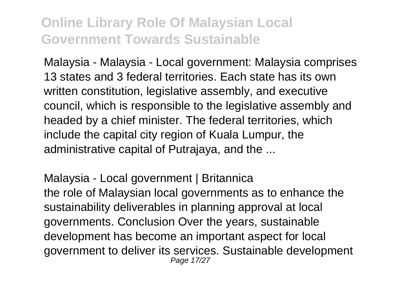Malaysia - Malaysia - Local government: Malaysia comprises 13 states and 3 federal territories. Each state has its own written constitution, legislative assembly, and executive council, which is responsible to the legislative assembly and headed by a chief minister. The federal territories, which include the capital city region of Kuala Lumpur, the administrative capital of Putrajaya, and the ...

Malaysia - Local government | Britannica the role of Malaysian local governments as to enhance the sustainability deliverables in planning approval at local governments. Conclusion Over the years, sustainable development has become an important aspect for local government to deliver its services. Sustainable development Page 17/27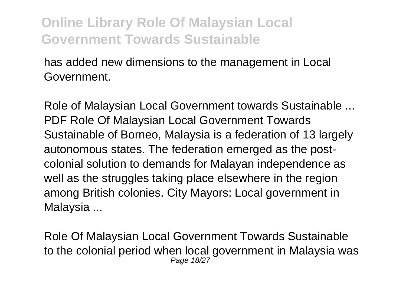has added new dimensions to the management in Local Government.

Role of Malaysian Local Government towards Sustainable ... PDF Role Of Malaysian Local Government Towards Sustainable of Borneo, Malaysia is a federation of 13 largely autonomous states. The federation emerged as the postcolonial solution to demands for Malayan independence as well as the struggles taking place elsewhere in the region among British colonies. City Mayors: Local government in Malaysia ...

Role Of Malaysian Local Government Towards Sustainable to the colonial period when local government in Malaysia was Page 18/27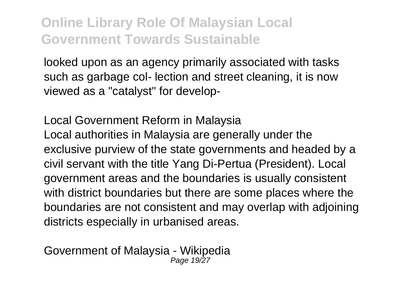looked upon as an agency primarily associated with tasks such as garbage col- lection and street cleaning, it is now viewed as a "catalyst" for develop-

Local Government Reform in Malaysia Local authorities in Malaysia are generally under the exclusive purview of the state governments and headed by a civil servant with the title Yang Di-Pertua (President). Local government areas and the boundaries is usually consistent with district boundaries but there are some places where the boundaries are not consistent and may overlap with adjoining districts especially in urbanised areas.

Government of Malaysia - Wikipedia Page 19/27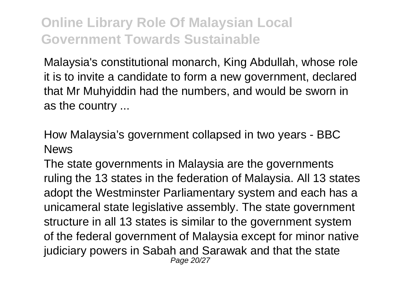Malaysia's constitutional monarch, King Abdullah, whose role it is to invite a candidate to form a new government, declared that Mr Muhyiddin had the numbers, and would be sworn in as the country ...

How Malaysia's government collapsed in two years - BBC News

The state governments in Malaysia are the governments ruling the 13 states in the federation of Malaysia. All 13 states adopt the Westminster Parliamentary system and each has a unicameral state legislative assembly. The state government structure in all 13 states is similar to the government system of the federal government of Malaysia except for minor native judiciary powers in Sabah and Sarawak and that the state Page 20/27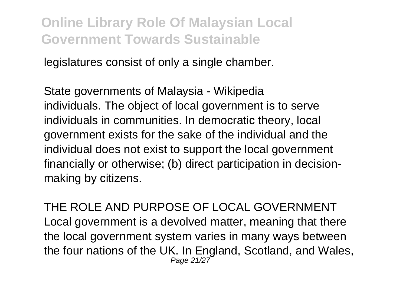legislatures consist of only a single chamber.

State governments of Malaysia - Wikipedia individuals. The object of local government is to serve individuals in communities. In democratic theory, local government exists for the sake of the individual and the individual does not exist to support the local government financially or otherwise; (b) direct participation in decisionmaking by citizens.

THE ROLE AND PURPOSE OF LOCAL GOVERNMENT Local government is a devolved matter, meaning that there the local government system varies in many ways between the four nations of the UK. In England, Scotland, and Wales, Page 21/27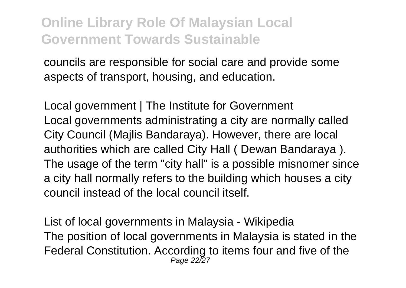councils are responsible for social care and provide some aspects of transport, housing, and education.

Local government | The Institute for Government Local governments administrating a city are normally called City Council (Majlis Bandaraya). However, there are local authorities which are called City Hall ( Dewan Bandaraya ). The usage of the term "city hall" is a possible misnomer since a city hall normally refers to the building which houses a city council instead of the local council itself.

List of local governments in Malaysia - Wikipedia The position of local governments in Malaysia is stated in the Federal Constitution. According to items four and five of the Page 22/27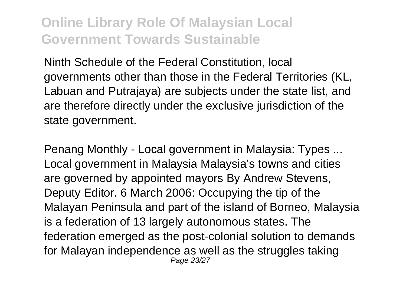Ninth Schedule of the Federal Constitution, local governments other than those in the Federal Territories (KL, Labuan and Putrajaya) are subjects under the state list, and are therefore directly under the exclusive jurisdiction of the state government.

Penang Monthly - Local government in Malaysia: Types ... Local government in Malaysia Malaysia's towns and cities are governed by appointed mayors By Andrew Stevens, Deputy Editor. 6 March 2006: Occupying the tip of the Malayan Peninsula and part of the island of Borneo, Malaysia is a federation of 13 largely autonomous states. The federation emerged as the post-colonial solution to demands for Malayan independence as well as the struggles taking Page 23/27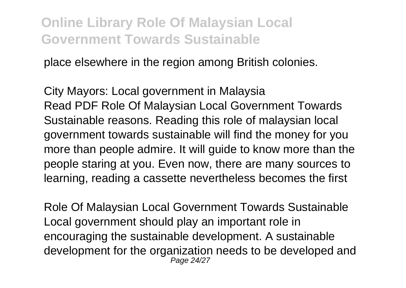place elsewhere in the region among British colonies.

City Mayors: Local government in Malaysia Read PDF Role Of Malaysian Local Government Towards Sustainable reasons. Reading this role of malaysian local government towards sustainable will find the money for you more than people admire. It will guide to know more than the people staring at you. Even now, there are many sources to learning, reading a cassette nevertheless becomes the first

Role Of Malaysian Local Government Towards Sustainable Local government should play an important role in encouraging the sustainable development. A sustainable development for the organization needs to be developed and Page 24/27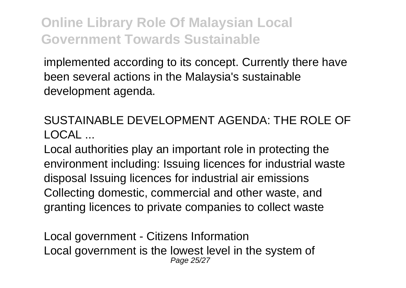implemented according to its concept. Currently there have been several actions in the Malaysia's sustainable development agenda.

SUSTAINABLE DEVELOPMENT AGENDA: THE ROLE OF  $LOCAI$ 

Local authorities play an important role in protecting the environment including: Issuing licences for industrial waste disposal Issuing licences for industrial air emissions Collecting domestic, commercial and other waste, and granting licences to private companies to collect waste

Local government - Citizens Information Local government is the lowest level in the system of Page 25/27